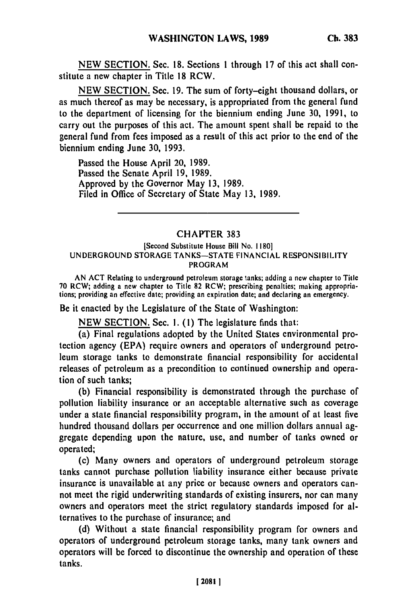**NEW** SECTION. Sec. **18.** Sections 1 through **17** of this act shall constitute a new chapter in Title **18** RCW.

**NEW** SECTION. Sec. **19.** The sum of forty-eight thousand dollars, or as much thereof as may be necessary, is appropriated from the general fund to the department of licensing for the biennium ending June **30, 1991,** to carry out the purposes of this act. The amount spent shall be repaid to the general fund from fees imposed as a result of this act prior to the end of the biennium ending June **30, 1993.**

Passed the House April 20, **1989.** Passed the Senate April **19, 1989.** Approved **by** the Governor May **13, 1989.** Filed in Office of Secretary of State May **13, 1989.**

## CHAPTER **383**

## [Second Substitute House Bill No. **1180] UNDERGROUND** STORAGE TANKS-STATE **FINANCIAL** RESPONSIBILITY PROGRAM

AN **ACT** Relating to underground petroleum storage tanks; adding a **new** chapter to Title **70** RCW; adding a new chapter to Title **82** RCW; prescribing penalties; making appropriations; providing an effective date; providing an expiration date; and declaring an emergency.

Be it enacted **by** the Legislature of the State of Washington:

**NEW** SECTION. Sec. **1. (1)** The legislature finds that:

(a) Final regulations adopted **by** the United States environmental protection agency **(EPA)** require owners and operators of underground petroleum storage tanks to demonstrate financial responsibility for accidental releases of petroleum as a precondition to continued ownership and operation of such tanks;

**(b)** Financial responsibility is demonstrated through the purchase of pollution liability insurance or an acceptable alternative such as coverage under a state financial responsibility program, in the amount of at least five hundred thousand dollars per occurrence and one million dollars annual aggregate depending upon the nature, use, and number of tanks owned or operated;

(c) Many owners and operators of underground petroleum storage tanks cannot purchase pollution liability insurance either because private insurance is unavailable at any price or because owners and operators cannot meet the rigid underwriting standards of existing insurers, nor can many owners and operators meet the strict regulatory standards imposed for alternatives to the purchase of insurance; and

**(d)** Without a state financial responsibility program for owners and operators of underground petroleum storage tanks, many tank owners and operators will be forced to discontinue the ownership and operation of these tanks.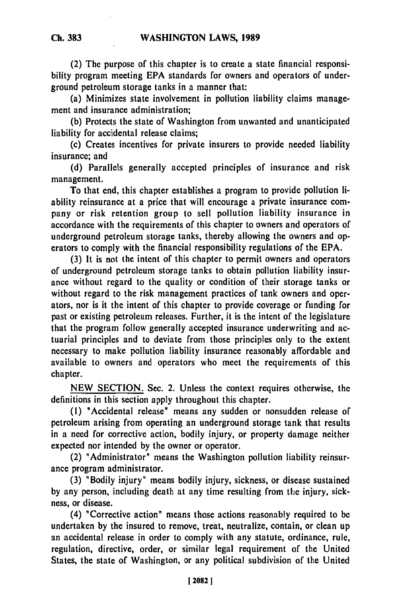(2) The purpose of this chapter is to create a state financial responsibility program meeting EPA standards for owners and operators of underground petroleum storage tanks in a manner that:

(a) Minimizes state involvement in pollution liability claims management and insurance administration;

(b) Protects the state of Washington from unwanted and unanticipated liability for accidental release claims;

(c) Creates incentives for private insurers to provide needed liability insurance; and

(d) Parallels generally accepted principles of insurance and risk management.

To that end, this chapter establishes a program to provide pollution liability reinsurance at a price that will encourage a private insurance company or risk retention group to sell pollution liability insurance in accordance with the requirements of this chapter to owners and operators of underground petroleum storage tanks, thereby allowing the owners and operators to comply with the financial responsibility regulations of the EPA.

(3) It is not the intent of this chapter to permit owners and operators of underground petroleum storage tanks to obtain pollution liability insurance without regard to the quality or condition of their storage tanks or without regard to the risk management practices of tank owners and operators, nor is it the intent of this chapter to provide coverage or funding for past or existing petroleum releases. Further, it is the intent of the legislature that the program follow generally accepted insurance underwriting and actuarial principles and to deviate from those principles only to the extent necessary to make pollution liability insurance reasonably affordable and available to owners and operators who meet the requirements of this chapter.

NEW SECTION. Sec. 2. Unless the context requires otherwise, the definitions in this section apply throughout this chapter.

**(1)** "Accidental release" means any sudden or nonsudden release of petroleum arising from operating an underground storage tank that results in a need for corrective action, bodily injury, or property damage neither expected nor intended by the owner or operator.

(2) "Administrator" means the Washington pollution liability reinsurance program administrator.

(3) "Bodily injury" means bodily injury, sickness, or disease sustained by any person, including death at any time resulting from the injury, sickness, or disease.

(4) "Corrective action" means those actions reasonably required to be undertaken by the insured to remove, treat, neutralize, contain, or clean up an accidental release in order to comply with any statute, ordinance, rule, regulation, directive, order, or similar legal requirement of the United States, the state of Washington, or any political subdivision of the United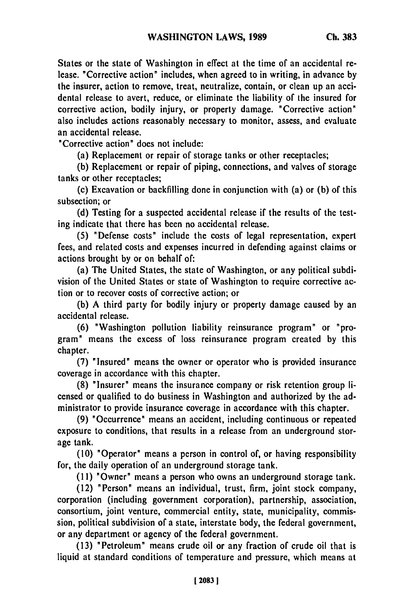States or the state of Washington in effect at the time of an accidental release. "Corrective action" includes, when agreed to in writing, in advance **by** the insurer, action to remove, treat, neutralize, contain, or clean up an accidental release to avert, reduce, or eliminate the liability of the insured for corrective action, bodily injury, or property damage. "Corrective action" also includes actions reasonably necessary to monitor, assess, and evaluate an accidental release.

"Corrective action" does not include:

(a) Replacement or repair of storage tanks or other receptacles;

(b) Replacement or repair of piping, connections, and valves of storage tanks or other receptacles;

(c) Excavation or backfilling done in conjunction with (a) or (b) of this subsection; or

(d) Testing for a suspected accidental release if the results of the testing indicate that there has been no accidental release.

(5) "Defense costs" include the costs of legal representation, expert fees, and related costs and expenses incurred in defending against claims or actions brought **by** or on behalf of:

(a) The United States, the state of Washington, or any political subdivision of the United States or state of Washington to require corrective action or to recover costs of corrective action; or

(b) A third party for bodily injury or property damage caused **by** an accidental release.

(6) "Washington pollution liability reinsurance program" or "program" means the excess of loss reinsurance program created **by** this chapter.

(7) "Insured" means the owner or operator who is provided insurance coverage in accordance with this chapter.

**(8)** "Insurer" means the insurance company or risk retention group licensed or qualified to do business in Washington and authorized **by** the administrator to provide insurance coverage in accordance with this chapter.

(9) "Occurrence" means an accident, including continuous or repeated exposure to conditions, that results in a release from an underground storage tank.

(10) "Operator" means a person in control of, or having responsibility for, the daily operation of an underground storage tank.

(11) "Owner" means a person who owns an underground storage tank.

(12) "Person" means an individual, trust, firm, joint stock company, corporation (including government corporation), partnership, association, consortium, joint venture, commercial entity, state, municipality, commission, political subdivision of a state, interstate body, the federal government, or any department or agency of the federal government.

(13) "Petroleum" means crude oil or any fraction of crude oil that is liquid at standard conditions of temperature and pressure, which means at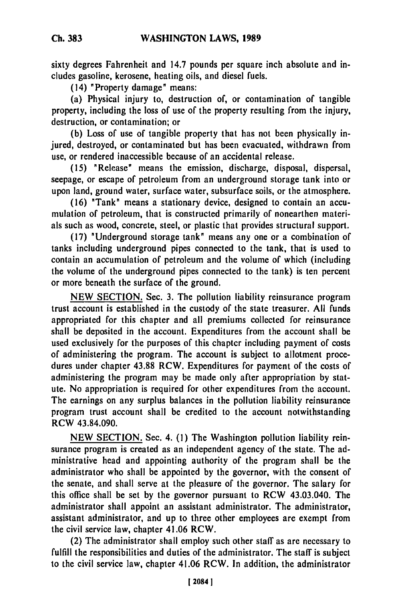**Ch. 383**

sixty degrees Fahrenheit and 14.7 pounds per square inch absolute and includes gasoline, kerosene, heating oils, and diesel fuels.

(14) "Property damage" means:

(a) Physical injury to, destruction of, or contamination of tangible property, including the loss of use of the property resulting from the injury, destruction, or contamination; or

**(b)** Loss of use of tangible property that has not been physically injured, destroyed, or contaminated but has been evacuated, withdrawn from use, or rendered inaccessible because of an accidental release.

**(15)** "Release" means the emission, discharge, disposal, dispersal, seepage, or escape of petroleum from an underground storage tank into or upon land, ground water, surface water, subsurface soils, or the atmosphere.

(16) "Tank" means a stationary device, designed to contain an accumulation of petroleum, that is constructed primarily of nonearthen materials such as wood, concrete, steel, or plastic that provides structural support.

**(17)** "Underground storage tank" means any one or a combination of tanks including underground pipes connected to the tank, that is used to contain an accumulation of petroleum and the volume of which (including the volume of the underground pipes connected to the tank) is ten percent or more beneath the surface of the ground.

NEW SECTION. Sec. 3. The pollution liability reinsurance program trust account is established in the custody of the state treasurer. All funds appropriated for this chapter and all premiums collected for reinsurance shall be deposited in the account. Expenditures from the account shall be used exclusively for the purposes of this chapter including payment of costs of administering the program. The account is subject to allotment procedures under chapter **43.88** RCW. Expenditures for payment of the costs of administering the program may be made only after appropriation **by** statute. No appropriation is required for other expenditures from the account. The earnings on any surplus balances in the pollution liability reinsurance program trust account shall be credited to the account notwithstanding RCW 43.84.090.

NEW SECTION. Sec. 4. (1) The Washington pollution liability reinsurance program is created as an independent agency of the state. The administrative head and appointing authority of the program shall be the administrator who shall be appointed **by** the governor, with the consent of the senate, and shall serve at the pleasure of the governor. The salary for this office shall be set **by** the governor pursuant to RCW 43.03.040. The administrator shall appoint an assistant administrator. The administrator, assistant administrator, and up to three other employees are exempt from the civil service law, chapter 41.06 RCW.

(2) The administrator shall employ such other staff as are necessary to fulfill the responsibilities and duties of the administrator. The staff is subject to the civil service law, chapter 41.06 RCW. In addition, the administrator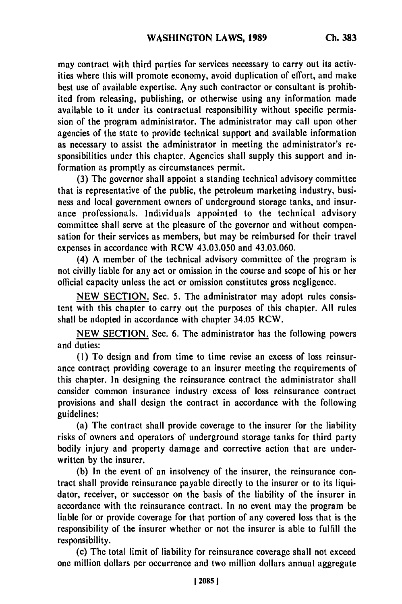may contract with third parties for services necessary to carry out its activities where this will promote economy, avoid duplication of effort, and make best use of available expertise. Any such contractor or consultant is prohibited from releasing, publishing, or otherwise using any information made available to it under its contractual responsibility without specific permission of the program administrator. The administrator may call upon other agencies of the state to provide technical support and available information as necessary to assist the administrator in meeting the administrator's responsibilities under this chapter, Agencies shall supply this support and information as promptly as circumstances permit.

**(3)** The governor shall appoint a standing technical advisory committee that is representative of the public, the petroleum marketing industry, business and local government owners of underground storage tanks, and insurance professionals. Individuals appointed to the technical advisory committee shall serve at the pleasure of the governor and without compensation for their services as members, but may be reimbursed for their travel expenses in accordance with RCW 43.03.050 and 43.03.060.

(4) **A** member of the technical advisory committee of the program is not civilly liable for any act or omission in the course and scope of his or her official capacity unless the act or omission constitutes gross negligence.

**NEW SECTION.** Sec. **5.** The administrator may adopt rules consistent with this chapter to carry out the purposes of this chapter. **All** rules shall be adopted in accordance with chapter 34.05 RCW.

**NEW SECTION.** Sec. **6.** The administrator has the following powers and duties:

**(1)** To design and from time to time revise an excess of loss reinsurance contract providing coverage to an insurer meeting the requirements of this chapter. In designing the reinsurance contract the administrator shall consider common insurance industry excess of loss reinsurance contract provisions and shall design the contract in accordance with the following guidelines:

(a) The contract shall provide coverage to the insurer for the liability risks of owners and operators of underground storage tanks for third party bodily injury and property damage and corrective action that are underwritten **by** the insurer.

**(b)** In the event of an insolvency of the insurer, the reinsurance contract shall provide reinsurance payable directly to the insurer or to its liquidator, receiver, or successor on the basis of the liability of the insurer in accordance with the reinsurance contract. In no event may the program be liable for or provide coverage for that portion of any covered loss that is the responsibility of the insurer whether or not the insurer is able to fulfill the responsibility.

(c) The total limit of liability for reinsurance coverage shall not exceed one million dollars per occurrence and two million dollars annual aggregate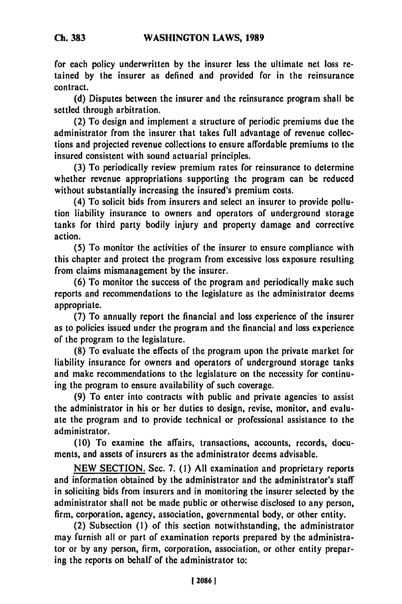for each policy underwritten **by** the insurer less the ultimate net loss retained **by** the insurer as defined and provided for in the reinsurance contract.

**(d)** Disputes between the insurer and the reinsurance program shall be settled through arbitration.

(2) To design and implement a structure of periodic premiums due **the** administrator from the insurer that takes full advantage of revenue collections and projected revenue collections to ensure affordable premiums to the insured consistent with sound actuarial principles.

**(3)** To periodically review premium rates for reinsurance to determine whether revenue appropriations supporting the program can be reduced without substantially increasing the insured's premium costs.

(4) To solicit bids from insurers and select an insurer to provide pollution liability insurance to owners and operators of underground storage tanks for third party bodily injury and property damage and corrective action.

**(5)** To monitor the activities of the insurer to ensure compliance with this chapter and protect the program from excessive loss exposure resulting from claims mismanagement **by** the insurer.

**(6)** To monitor the success of the program and periodically make such reports and recommendations to the legislature as the administrator deems appropriate.

**(7)** To annually report the financial and loss experience of the insurer as to policies issued under the program and the financial and loss experience of the program to the legislature.

**(8)** To evaluate the effects of the program upon the private market for liability insurance for owners and operators of underground storage tanks and make recommendations to the legislature on the necessity for continuing the program to ensure availability of such coverage.

**(9)** To enter into contracts with public and private agencies to assist the administrator in his or her duties to design, revise, monitor, and evaluate the program and to provide technical or professional assistance to the administrator.

**(10)** To examine the affairs, transactions, accounts, records, documents, and assets of insurers as the administrator deems advisable.

**NEW SECTION.** Sec. **7. (1) All** examination and proprietary reports and information obtained **by** the administrator and the administrator's staff in soliciting bids from insurers and in monitoring the insurer selected **by** the administrator shall not be made public or otherwise disclosed to any person, firm, corporation, agency, association, governmental body, or other entity.

(2) Subsection **(1)** of this section notwithstanding, the administrator may furnish all or part of examination reports prepared **by** the administrator or **by** any person, firm, corporation, association, or other entity preparing the reports on behalf of the administrator to: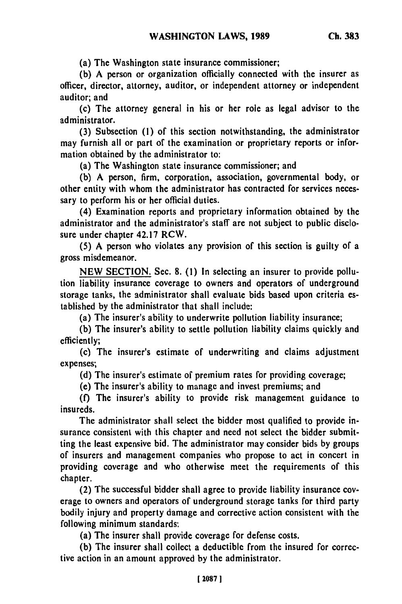(a) The Washington state insurance commissioner;

**(b) A** person or organization officially connected with the insurer as officer, director, attorney, auditor, or independent attorney or independent auditor; and

(c) The attorney general in his or her role as legal advisor to the administrator.

**(3)** Subsection **(1)** of this section notwithstanding, the administrator may furnish all or part of the examination or proprietary reports or information obtained **by** the administrator to:

(a) The Washington state insurance commissioner; and

**(b)** A person, firm, corporation, association, governmental body, or other entity with whom the administrator has contracted for services necessary to perform his or her official duties.

(4) Examination reports and proprietary information obtained **by** the administrator and the administrator's staff are not subject to public disclosure under chapter 42.17 RCW.

**(5)** A person who violates any provision of this section is guilty of a gross misdemeanor.

**NEW** SECTION. Sec. 8. **(1)** In selecting an insurer to provide pollution liability insurance coverage to owners and operators of underground storage tanks, the administrator shall evaluate bids based upon criteria established **by** the administrator that shall include:

(a) The insurer's ability to underwrite pollution liability insurance;

**(b)** The insurer's ability to settle pollution liability claims quickly and efficiently;

(c) The insurer's estimate of underwriting and claims adjustment expenses;

**(d)** The insurer's estimate of premium rates for providing coverage;

(e) The insurer's ability to manage and invest premiums; and

**(f)** The insurer's ability to provide risk management guidance to insureds.

The administrator shall select the bidder most qualified to provide insurance consistent with this chapter and need not select the bidder submitting the least expensive bid. The administrator may consider bids **by** groups of insurers and management companies who propose to act in concert in providing coverage and who otherwise meet the requirements of this chapter.

(2) The successful bidder shall agree to provide liability insurance coverage to owners and operators of underground storage tanks for third party bodily injury and property damage and corrective action consistent with the following minimum standards:

(a) The insurer shall provide coverage for defense costs.

**(b)** The insurer shall collect a deductible from the insured for corrective action in an amount approved **by** the administrator.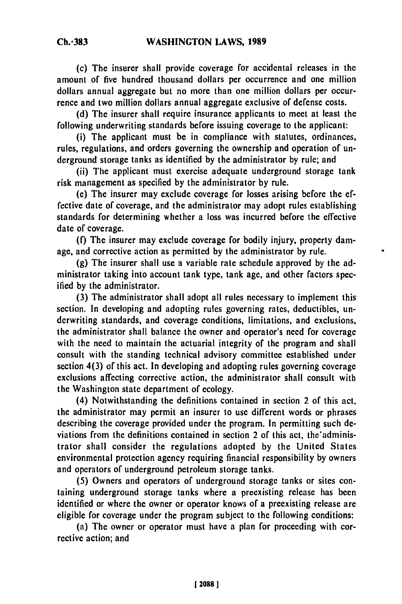**Ch.-383**

(c) The insurer shall provide coverage for accidental releases in the amount of five hundred thousand dollars per occurrence and one million dollars annual aggregate but no more than one million dollars per occurrence and two million dollars annual aggregate exclusive of defense costs.

**(d)** The insurer shall require insurance applicants to meet at least the following underwriting standards before issuing coverage to the applicant:

(i) The applicant must be in compliance with statutes, ordinances, rules, regulations, and orders governing the ownership and operation of underground storage tanks as identified **by** the administrator **by** rule; and

(ii) The applicant must exercise adequate underground storage tank risk management as specified **by** the administrator **by** rule.

(e) The insurer may exclude coverage for losses arising before the effective date of coverage, and the administrator may adopt rules establishing standards for determining whether a loss was incurred before the effective date of coverage.

**(f)** The insurer may exclude coverage for bodily injury, property damage, and corrective action as permitted **by** the administrator **by** rule.

**(g)** The insurer shall use a variable rate schedule approved **by** the administrator taking into account tank type, tank age, and other factors specified **by** the administrator.

**(3)** The administrator shall adopt all rules necessary to implement this section. In developing and adopting rules governing rates, deductibles, underwriting standards, and coverage conditions, limitations, and exclusions, the administrator shall balance the owner and operator's need for coverage with the need to maintain the actuarial integrity of **the** program and shall consult with the standing technical advisory committee established under section 4(3) of this act. In developing and adopting rules governing coverage exclusions affecting corrective action, the administrator shall consult with the Washington state department of ecology.

(4) Notwithstanding the definitions contained in section 2 of this act, the administrator may permit an insurer to use different words or phrases describing the coverage provided under the program. In permitting such **de**viations from the definitions contained in section 2 of this act, the'administrator shall consider the regulations adopted **by** the United States environmental protection agency requiring financial responsibility **by** owners and operators of underground petroleum storage tanks.

**(5)** Owners and operators of underground storage tanks or sites containing underground storage tanks where a preexisting release has been identified or where the owner or operator knows of a preexisting release **arc** eligible for coverage under the program subject to the following conditions:

(a) The owner or operator must have a plan for proceeding with corrective action; and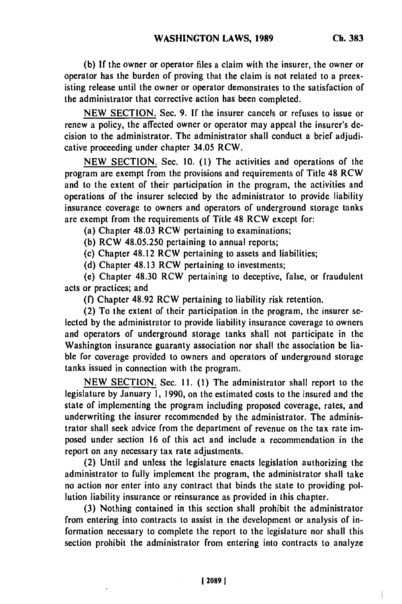**(b) If the** owner or operator files a claim with the insurer, the owner or operator has the burden of proving that the claim is not related to a preexisting release until the owner or operator demonstrates to the satisfaction of the administrator that corrective action has been completed.

**NEW SECTION.** Sec. **9. If** the insurer cancels or refuses to issue or renew a policy, the affected owner or operator may appeal the insurer's decision to the administrator. The administrator shall conduct a brief adjudicative proceeding under chapter 34.05 **RCW.**

**NEW** SECTION. Sec. **10. (1)** The activities and operations of the program are exempt from the provisions and requirements of Title 48 RCW and to the extent of their participation in the program, the activities and operations of the insurer selected **by** the administrator to provide liability insurance coverage to owners and operators of underground storage tanks are exempt from the requirements of Title 48 RCW except for:

(a) Chapter 48.03 RCW pertaining to examinations;

**(b)** RCW **48.05.250** pertaining to annual reports;

(c) Chapter 48.12 RCW pertaining to assets and liabilities;

**(d)** Chapter 48.13 RCW pertaining to investments;

(e) Chapter 48.30 RCW pertaining to deceptive, false, or fraudulent acts or practices; and

**(f)** Chapter 48.92 RCW pertaining to liability risk retention.

(2) To the extent of their participation in the program, the insurer selected **by** the administrator to provide liability insurance coverage to owners and operators of underground storage tanks shall not participate in the Washington insurance guaranty association nor shall the association **be** lia**ble** for coverage provided to owners and operators of underground storage tanks issued in connection with the program.

**NEW SECTION.** Sec. **I1. (1)** The administrator shall report to the legislature **by** January **1, 1990,** on the estimated costs to the insured and the state of implementing the program including proposed coverage, rates, and underwriting the insurer recommended **by** the administrator. The administrator shall seek advice from the department of revenue on the tax rate imposed under section **16** of this act and include a recommendation in the report on any necessary tax rate adjustments.

(2) Until and unless the legislature enacts legislation authorizing the administrator to fully implement the program, the administrator shall take no action nor enter into any contract that binds the state to providing **pol**lution liability insurance or reinsurance as provided in this chapter.

**(3)** Nothing contained in this section shall prohibit the administrator from entering into contracts to assist in the development or analysis of information necessary to complete the report to the legislature nor shall this section prohibit the administrator from entering into contracts to analyze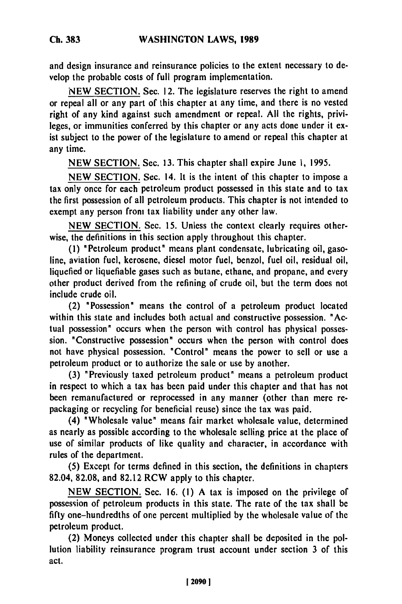and design insurance and reinsurance policies to the extent necessary to develop the probable costs of full program implementation.

NEW SECTION. Sec. 12. The legislature reserves the right to amend or repeal all or any part of this chapter at any time, and there is no vested right of any kind against such amendment or repeal. All the rights, privileges, or immunities conferred by this chapter or any acts done under it exist subject to the power of the legislature to amend or repeal this chapter at any time.

NEW SECTION. Sec. 13. This chapter shall expire June **1,** 1995.

NEW SECTION. Sec. 14. It is the intent of this chapter to impose a tax only once for each petroleum product possessed in this state and to tax the first possession of all petroleum products. This chapter is not intended to exempt any person front tax liability under any other law.

NEW SECTION. Sec. **15.** Unless the context clearly requires otherwise, the definitions in this section apply throughout this chapter.

**(1)** 'Petroleum product' means plant condensate, lubricating oil, gasoline, aviation fuel, kerosene, diesel motor fuel, benzol, fuel oil, residual oil, liquefied or liquefiable gases such as butane, ethane, and propane, and every other product derived from the refining of crude oil, but the term does not include crude oil.

(2) "Possession' means the control of a petroleum product located within this state and includes both actual and constructive possession. "Actual possession" occurs when the person with control has physical possession. 'Constructive possession" occurs when the person with control does not have physical possession. 'Control' means the power to sell or use a petroleum product or to authorize the sale or use by another.

(3) 'Previously taxed petroleum product' means a petroleum product in respect to which a tax has been paid under this chapter and that has not been remanufactured or reprocessed in any manner (other than mere repackaging or recycling for beneficial reuse) since the tax was paid.

(4) "Wholesale value' means fair market wholesale value, determined as nearly as possible according to the wholesale selling price at the place of use of similar products of like quality and character, in accordance with rules of the department.

(5) Except for terms defined in this section, the definitions in chapters 82.04, 82.08, and 82.12 RCW apply to this chapter.

NEW SECTION. Sec. 16. (1) A tax is imposed on the privilege of possession of petroleum products in this state. The rate of the tax shall be fifty one-hundredths of one percent multiplied by the wholesale value of the petroleum product.

(2) Moneys collected under this chapter shall be deposited in the pollution liability reinsurance program trust account under section 3 of this act.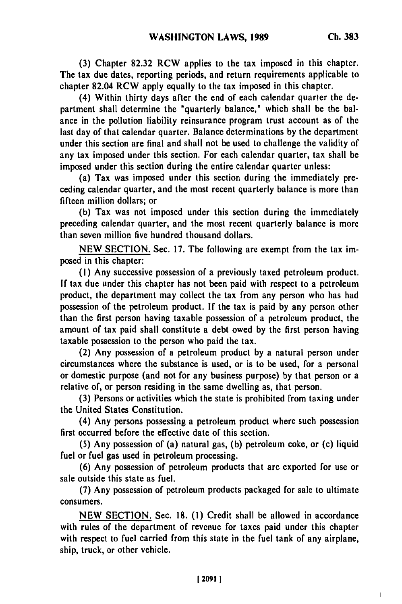**(3)** Chapter **82.32** RCW applies to the tax imposed in this chapter. The tax due dates, reporting periods, and return requirements applicable to chapter 82.04 RCW apply equally to the tax imposed in this chapter.

(4) Within thirty days after the end of each calendar quarter the department shall determine the 'quarterly balance," which shall be the balance in the pollution liability reinsurance program trust account as of the last day of that calendar quarter. Balance determinations **by** the department under this section are final and shall not be used to challenge the validity of any tax imposed under this section. For each calendar quarter, tax shall be imposed under this section during the entire calendar quarter unless:

(a) Tax was imposed under this section during the immediately preceding calendar quarter, and the most recent quarterly balance is more than fifteen million dollars; or

**(b)** Tax was not imposed under this section during the immediately preceding calendar quarter, and the most recent quarterly balance is more than seven million five hundred thousand dollars.

**NEW SECTION.** Sec. **17.** The following are exempt from the tax imposed in this chapter:

**(I)** Any successive possession of a previously taxed petroleum product. **If** tax due under this chapter has not been paid with respect to a petroleum product, the department may collect the tax from any person who has had possession of the petroleum product. **If** the tax is paid **by** any person other than the first person having taxable possession of a petroleum product, the amount of tax paid shall constitute a debt owed **by** the first person having taxable possession to the person who paid the tax.

(2) Any possession of a petroleum product **by** a natural person under circumstances where the substance is used, or is to **be** used, for a personal or domestic purpose (and not for any business purpose) **by** that person or a relative of, or person residing in the same dwelling as, that person.

**(3)** Persons or activities which the state is prohibited from taxing under the United States Constitution.

(4) Any persons possessing a petroleum product where such possession first occurred before the effective date of this section.

**(5)** Any possession of (a) natural gas, **(b)** petroleum coke, or (c) liquid fuel or fuel gas used in petroleum processing.

**(6)** Any possession of petroleum products that are exported for use or sale outside this state as fuel.

**(7)** Any possession of petroleum products packaged for sale to ultimate consumers.

**NEW SECTION.** Sec. **18. (1)** Credit shall be allowed in accordance with rules of the department of revenue for taxes paid under this chapter with respect to fuel carried from this state in the fuel tank of any airplane, ship, truck, or other vehicle.